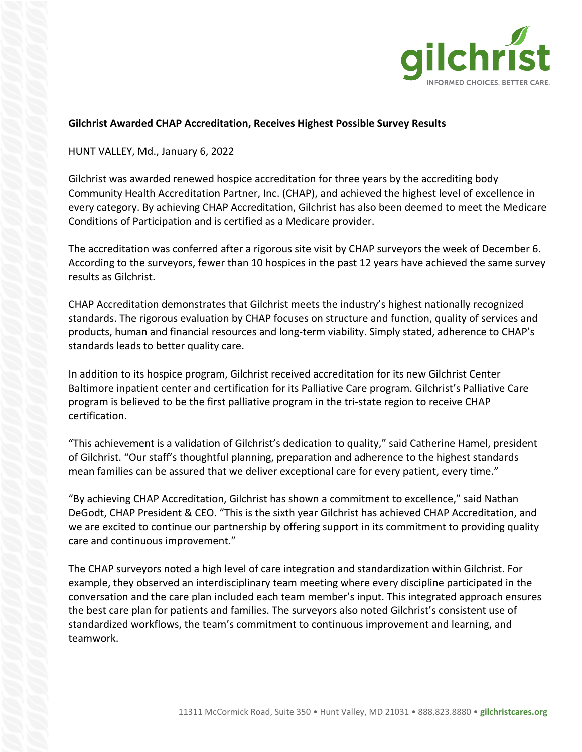

## **Gilchrist Awarded CHAP Accreditation, Receives Highest Possible Survey Results**

## HUNT VALLEY, Md., January 6, 2022

Gilchrist was awarded renewed hospice accreditation for three years by the accrediting body Community Health Accreditation Partner, Inc. (CHAP), and achieved the highest level of excellence in every category. By achieving CHAP Accreditation, Gilchrist has also been deemed to meet the Medicare Conditions of Participation and is certified as a Medicare provider.

The accreditation was conferred after a rigorous site visit by CHAP surveyors the week of December 6. According to the surveyors, fewer than 10 hospices in the past 12 years have achieved the same survey results as Gilchrist.

CHAP Accreditation demonstrates that Gilchrist meets the industry's highest nationally recognized standards. The rigorous evaluation by CHAP focuses on structure and function, quality of services and products, human and financial resources and long-term viability. Simply stated, adherence to CHAP's standards leads to better quality care.

In addition to its hospice program, Gilchrist received accreditation for its new Gilchrist Center Baltimore inpatient center and certification for its Palliative Care program. Gilchrist's Palliative Care program is believed to be the first palliative program in the tri-state region to receive CHAP certification.

"This achievement is a validation of Gilchrist's dedication to quality," said Catherine Hamel, president of Gilchrist. "Our staff's thoughtful planning, preparation and adherence to the highest standards mean families can be assured that we deliver exceptional care for every patient, every time."

"By achieving CHAP Accreditation, Gilchrist has shown a commitment to excellence," said Nathan DeGodt, CHAP President & CEO. "This is the sixth year Gilchrist has achieved CHAP Accreditation, and we are excited to continue our partnership by offering support in its commitment to providing quality care and continuous improvement."

The CHAP surveyors noted a high level of care integration and standardization within Gilchrist. For example, they observed an interdisciplinary team meeting where every discipline participated in the conversation and the care plan included each team member's input. This integrated approach ensures the best care plan for patients and families. The surveyors also noted Gilchrist's consistent use of standardized workflows, the team's commitment to continuous improvement and learning, and teamwork.